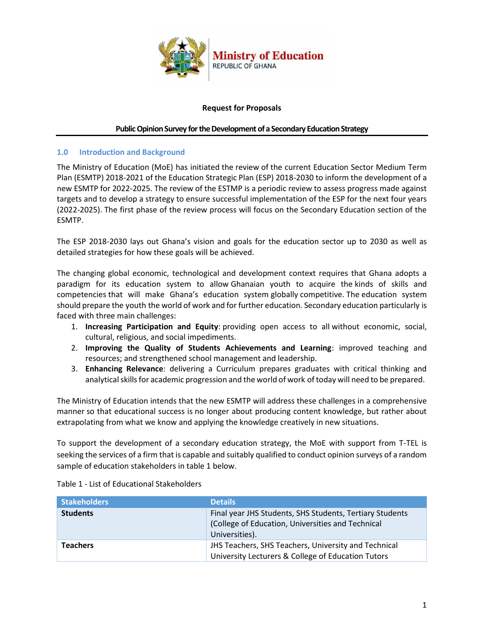

### **Request for Proposals**

#### **Public Opinion Survey for the Development of a Secondary Education Strategy**

#### **1.0 Introduction and Background**

The Ministry of Education (MoE) has initiated the review of the current Education Sector Medium Term Plan (ESMTP) 2018-2021 of the Education Strategic Plan (ESP) 2018-2030 to inform the development of a new ESMTP for 2022-2025. The review of the ESTMP is a periodic review to assess progress made against targets and to develop a strategy to ensure successful implementation of the ESP for the next four years (2022-2025). The first phase of the review process will focus on the Secondary Education section of the ESMTP.

The ESP 2018-2030 lays out Ghana's vision and goals for the education sector up to 2030 as well as detailed strategies for how these goals will be achieved.

The changing global economic, technological and development context requires that Ghana adopts a paradigm for its education system to allow Ghanaian youth to acquire the kinds of skills and competencies that will make Ghana's education system globally competitive. The education system should prepare the youth the world of work and for further education. Secondary education particularly is faced with three main challenges:

- 1. **Increasing Participation and Equity**: providing open access to all without economic, social, cultural, religious, and social impediments.
- 2. **Improving the Quality of Students Achievements and Learning**: improved teaching and resources; and strengthened school management and leadership.
- 3. **Enhancing Relevance**: delivering a Curriculum prepares graduates with critical thinking and analytical skills for academic progression and the world of work of today will need to be prepared.

The Ministry of Education intends that the new ESMTP will address these challenges in a comprehensive manner so that educational success is no longer about producing content knowledge, but rather about extrapolating from what we know and applying the knowledge creatively in new situations.

To support the development of a secondary education strategy, the MoE with support from T-TEL is seeking the services of a firm that is capable and suitably qualified to conduct opinion surveys of a random sample of education stakeholders in table 1 below.

| <b>Stakeholders</b> | <b>Details</b>                                                                                                                  |
|---------------------|---------------------------------------------------------------------------------------------------------------------------------|
| <b>Students</b>     | Final year JHS Students, SHS Students, Tertiary Students<br>(College of Education, Universities and Technical<br>Universities). |
| <b>Teachers</b>     | JHS Teachers, SHS Teachers, University and Technical<br>University Lecturers & College of Education Tutors                      |

Table 1 - List of Educational Stakeholders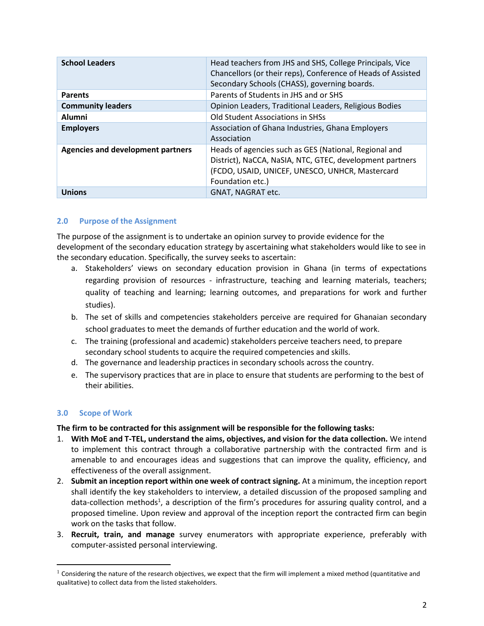| <b>School Leaders</b>                    | Head teachers from JHS and SHS, College Principals, Vice<br>Chancellors (or their reps), Conference of Heads of Assisted<br>Secondary Schools (CHASS), governing boards.                 |
|------------------------------------------|------------------------------------------------------------------------------------------------------------------------------------------------------------------------------------------|
| <b>Parents</b>                           | Parents of Students in JHS and or SHS                                                                                                                                                    |
| <b>Community leaders</b>                 | Opinion Leaders, Traditional Leaders, Religious Bodies                                                                                                                                   |
| <b>Alumni</b>                            | <b>Old Student Associations in SHSs</b>                                                                                                                                                  |
| <b>Employers</b>                         | Association of Ghana Industries, Ghana Employers<br>Association                                                                                                                          |
| <b>Agencies and development partners</b> | Heads of agencies such as GES (National, Regional and<br>District), NaCCA, NaSIA, NTC, GTEC, development partners<br>(FCDO, USAID, UNICEF, UNESCO, UNHCR, Mastercard<br>Foundation etc.) |
| <b>Unions</b>                            | GNAT, NAGRAT etc.                                                                                                                                                                        |

## **2.0 Purpose of the Assignment**

The purpose of the assignment is to undertake an opinion survey to provide evidence for the development of the secondary education strategy by ascertaining what stakeholders would like to see in the secondary education. Specifically, the survey seeks to ascertain:

- a. Stakeholders' views on secondary education provision in Ghana (in terms of expectations regarding provision of resources - infrastructure, teaching and learning materials, teachers; quality of teaching and learning; learning outcomes, and preparations for work and further studies).
- b. The set of skills and competencies stakeholders perceive are required for Ghanaian secondary school graduates to meet the demands of further education and the world of work.
- c. The training (professional and academic) stakeholders perceive teachers need, to prepare secondary school students to acquire the required competencies and skills.
- d. The governance and leadership practices in secondary schools across the country.
- e. The supervisory practices that are in place to ensure that students are performing to the best of their abilities.

# **3.0 Scope of Work**

**The firm to be contracted for this assignment will be responsible for the following tasks:**

- 1. **With MoE and T-TEL, understand the aims, objectives, and vision for the data collection.** We intend to implement this contract through a collaborative partnership with the contracted firm and is amenable to and encourages ideas and suggestions that can improve the quality, efficiency, and effectiveness of the overall assignment.
- 2. **Submit an inception report within one week of contract signing.** At a minimum, the inception report shall identify the key stakeholders to interview, a detailed discussion of the proposed sampling and data-collection methods<sup>1</sup>, a description of the firm's procedures for assuring quality control, and a proposed timeline. Upon review and approval of the inception report the contracted firm can begin work on the tasks that follow.
- 3. **Recruit, train, and manage** survey enumerators with appropriate experience, preferably with computer-assisted personal interviewing.

 $1$  Considering the nature of the research objectives, we expect that the firm will implement a mixed method (quantitative and qualitative) to collect data from the listed stakeholders.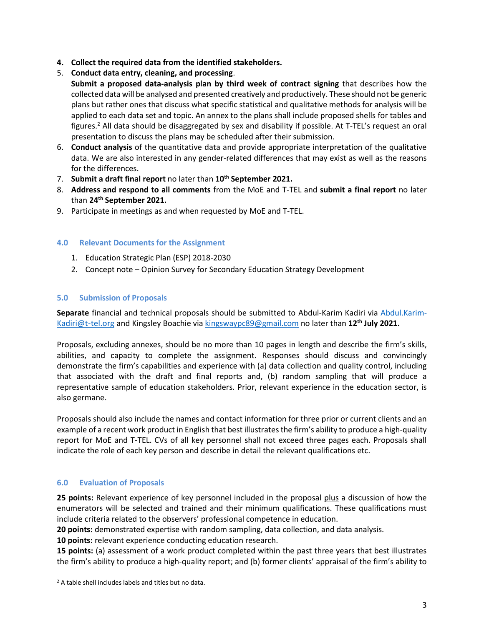- **4. Collect the required data from the identified stakeholders.**
- 5. **Conduct data entry, cleaning, and processing**.
	- **Submit a proposed data-analysis plan by third week of contract signing** that describes how the collected data will be analysed and presented creatively and productively. These should not be generic plans but rather ones that discuss what specific statistical and qualitative methods for analysis will be applied to each data set and topic. An annex to the plans shall include proposed shells for tables and figures.<sup>2</sup> All data should be disaggregated by sex and disability if possible. At T-TEL's request an oral presentation to discuss the plans may be scheduled after their submission.
- 6. **Conduct analysis** of the quantitative data and provide appropriate interpretation of the qualitative data. We are also interested in any gender-related differences that may exist as well as the reasons for the differences.
- 7. **Submit a draft final report** no later than **10th September 2021.**
- 8. **Address and respond to all comments** from the MoE and T-TEL and **submit a final report** no later than **24 th September 2021.**
- 9. Participate in meetings as and when requested by MoE and T-TEL.

## **4.0 Relevant Documents for the Assignment**

- 1. Education Strategic Plan (ESP) 2018-2030
- 2. Concept note Opinion Survey for Secondary Education Strategy Development

## **5.0 Submission of Proposals**

**Separate** financial and technical proposals should be submitted to Abdul-Karim Kadiri via [Abdul.Karim-](mailto:Abdul.Karim-Kadiri@t-tel.org)[Kadiri@t-tel.org](mailto:Abdul.Karim-Kadiri@t-tel.org) and Kingsley Boachie vi[a kingswaypc89@gmail.com](mailto:kingswaypc89@gmail.com) no later than **12th July 2021.** 

Proposals, excluding annexes, should be no more than 10 pages in length and describe the firm's skills, abilities, and capacity to complete the assignment. Responses should discuss and convincingly demonstrate the firm's capabilities and experience with (a) data collection and quality control, including that associated with the draft and final reports and, (b) random sampling that will produce a representative sample of education stakeholders. Prior, relevant experience in the education sector, is also germane.

Proposals should also include the names and contact information for three prior or current clients and an example of a recent work product in English that best illustrates the firm's ability to produce a high-quality report for MoE and T-TEL. CVs of all key personnel shall not exceed three pages each. Proposals shall indicate the role of each key person and describe in detail the relevant qualifications etc.

# **6.0 Evaluation of Proposals**

**25 points:** Relevant experience of key personnel included in the proposal plus a discussion of how the enumerators will be selected and trained and their minimum qualifications. These qualifications must include criteria related to the observers' professional competence in education.

**20 points:** demonstrated expertise with random sampling, data collection, and data analysis.

**10 points:** relevant experience conducting education research.

**15 points:** (a) assessment of a work product completed within the past three years that best illustrates the firm's ability to produce a high-quality report; and (b) former clients' appraisal of the firm's ability to

<sup>2</sup> A table shell includes labels and titles but no data.